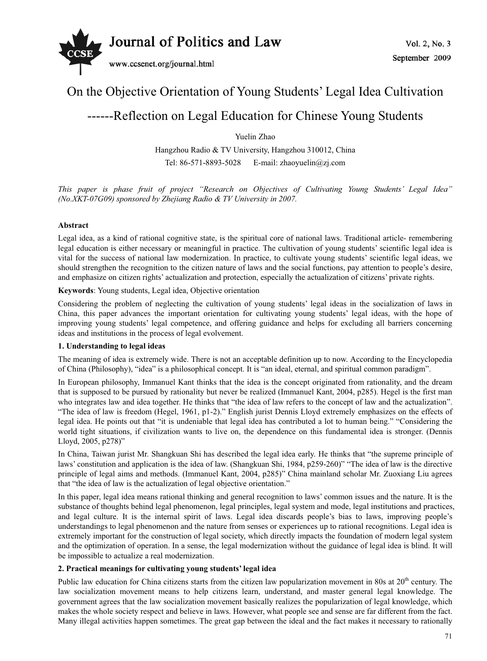

# On the Objective Orientation of Young Students' Legal Idea Cultivation

# ------Reflection on Legal Education for Chinese Young Students

Yuelin Zhao

Hangzhou Radio & TV University, Hangzhou 310012, China Tel: 86-571-8893-5028 E-mail: zhaoyuelin@zj.com

*This paper is phase fruit of project "Research on Objectives of Cultivating Young Students' Legal Idea" (No.XKT-07G09) sponsored by Zhejiang Radio & TV University in 2007.* 

# **Abstract**

Legal idea, as a kind of rational cognitive state, is the spiritual core of national laws. Traditional article- remembering legal education is either necessary or meaningful in practice. The cultivation of young students' scientific legal idea is vital for the success of national law modernization. In practice, to cultivate young students' scientific legal ideas, we should strengthen the recognition to the citizen nature of laws and the social functions, pay attention to people's desire, and emphasize on citizen rights' actualization and protection, especially the actualization of citizens' private rights.

**Keywords**: Young students, Legal idea, Objective orientation

Considering the problem of neglecting the cultivation of young students' legal ideas in the socialization of laws in China, this paper advances the important orientation for cultivating young students' legal ideas, with the hope of improving young students' legal competence, and offering guidance and helps for excluding all barriers concerning ideas and institutions in the process of legal evolvement.

# **1. Understanding to legal ideas**

The meaning of idea is extremely wide. There is not an acceptable definition up to now. According to the Encyclopedia of China (Philosophy), "idea" is a philosophical concept. It is "an ideal, eternal, and spiritual common paradigm".

In European philosophy, Immanuel Kant thinks that the idea is the concept originated from rationality, and the dream that is supposed to be pursued by rationality but never be realized (Immanuel Kant, 2004, p285). Hegel is the first man who integrates law and idea together. He thinks that "the idea of law refers to the concept of law and the actualization". "The idea of law is freedom (Hegel, 1961, p1-2)." English jurist Dennis Lloyd extremely emphasizes on the effects of legal idea. He points out that "it is undeniable that legal idea has contributed a lot to human being." "Considering the world tight situations, if civilization wants to live on, the dependence on this fundamental idea is stronger. (Dennis Lloyd, 2005, p278)"

In China, Taiwan jurist Mr. Shangkuan Shi has described the legal idea early. He thinks that "the supreme principle of laws' constitution and application is the idea of law. (Shangkuan Shi, 1984, p259-260)" "The idea of law is the directive principle of legal aims and methods. (Immanuel Kant, 2004, p285)" China mainland scholar Mr. Zuoxiang Liu agrees that "the idea of law is the actualization of legal objective orientation."

In this paper, legal idea means rational thinking and general recognition to laws' common issues and the nature. It is the substance of thoughts behind legal phenomenon, legal principles, legal system and mode, legal institutions and practices, and legal culture. It is the internal spirit of laws. Legal idea discards people's bias to laws, improving people's understandings to legal phenomenon and the nature from senses or experiences up to rational recognitions. Legal idea is extremely important for the construction of legal society, which directly impacts the foundation of modern legal system and the optimization of operation. In a sense, the legal modernization without the guidance of legal idea is blind. It will be impossible to actualize a real modernization.

# **2. Practical meanings for cultivating young students' legal idea**

Public law education for China citizens starts from the citizen law popularization movement in 80s at  $20<sup>th</sup>$  century. The law socialization movement means to help citizens learn, understand, and master general legal knowledge. The government agrees that the law socialization movement basically realizes the popularization of legal knowledge, which makes the whole society respect and believe in laws. However, what people see and sense are far different from the fact. Many illegal activities happen sometimes. The great gap between the ideal and the fact makes it necessary to rationally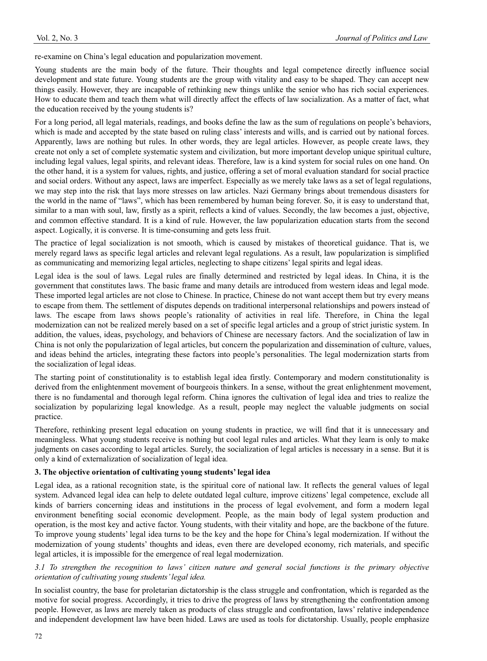re-examine on China's legal education and popularization movement.

Young students are the main body of the future. Their thoughts and legal competence directly influence social development and state future. Young students are the group with vitality and easy to be shaped. They can accept new things easily. However, they are incapable of rethinking new things unlike the senior who has rich social experiences. How to educate them and teach them what will directly affect the effects of law socialization. As a matter of fact, what the education received by the young students is?

For a long period, all legal materials, readings, and books define the law as the sum of regulations on people's behaviors, which is made and accepted by the state based on ruling class' interests and wills, and is carried out by national forces. Apparently, laws are nothing but rules. In other words, they are legal articles. However, as people create laws, they create not only a set of complete systematic system and civilization, but more important develop unique spiritual culture, including legal values, legal spirits, and relevant ideas. Therefore, law is a kind system for social rules on one hand. On the other hand, it is a system for values, rights, and justice, offering a set of moral evaluation standard for social practice and social orders. Without any aspect, laws are imperfect. Especially as we merely take laws as a set of legal regulations, we may step into the risk that lays more stresses on law articles. Nazi Germany brings about tremendous disasters for the world in the name of "laws", which has been remembered by human being forever. So, it is easy to understand that, similar to a man with soul, law, firstly as a spirit, reflects a kind of values. Secondly, the law becomes a just, objective, and common effective standard. It is a kind of rule. However, the law popularization education starts from the second aspect. Logically, it is converse. It is time-consuming and gets less fruit.

The practice of legal socialization is not smooth, which is caused by mistakes of theoretical guidance. That is, we merely regard laws as specific legal articles and relevant legal regulations. As a result, law popularization is simplified as communicating and memorizing legal articles, neglecting to shape citizens' legal spirits and legal ideas.

Legal idea is the soul of laws. Legal rules are finally determined and restricted by legal ideas. In China, it is the government that constitutes laws. The basic frame and many details are introduced from western ideas and legal mode. These imported legal articles are not close to Chinese. In practice, Chinese do not want accept them but try every means to escape from them. The settlement of disputes depends on traditional interpersonal relationships and powers instead of laws. The escape from laws shows people's rationality of activities in real life. Therefore, in China the legal modernization can not be realized merely based on a set of specific legal articles and a group of strict juristic system. In addition, the values, ideas, psychology, and behaviors of Chinese are necessary factors. And the socialization of law in China is not only the popularization of legal articles, but concern the popularization and dissemination of culture, values, and ideas behind the articles, integrating these factors into people's personalities. The legal modernization starts from the socialization of legal ideas.

The starting point of constitutionality is to establish legal idea firstly. Contemporary and modern constitutionality is derived from the enlightenment movement of bourgeois thinkers. In a sense, without the great enlightenment movement, there is no fundamental and thorough legal reform. China ignores the cultivation of legal idea and tries to realize the socialization by popularizing legal knowledge. As a result, people may neglect the valuable judgments on social practice.

Therefore, rethinking present legal education on young students in practice, we will find that it is unnecessary and meaningless. What young students receive is nothing but cool legal rules and articles. What they learn is only to make judgments on cases according to legal articles. Surely, the socialization of legal articles is necessary in a sense. But it is only a kind of externalization of socialization of legal idea.

### **3. The objective orientation of cultivating young students' legal idea**

Legal idea, as a rational recognition state, is the spiritual core of national law. It reflects the general values of legal system. Advanced legal idea can help to delete outdated legal culture, improve citizens' legal competence, exclude all kinds of barriers concerning ideas and institutions in the process of legal evolvement, and form a modern legal environment benefiting social economic development. People, as the main body of legal system production and operation, is the most key and active factor. Young students, with their vitality and hope, are the backbone of the future. To improve young students' legal idea turns to be the key and the hope for China's legal modernization. If without the modernization of young students' thoughts and ideas, even there are developed economy, rich materials, and specific legal articles, it is impossible for the emergence of real legal modernization.

## *3.1 To strengthen the recognition to laws' citizen nature and general social functions is the primary objective orientation of cultivating young students' legal idea.*

In socialist country, the base for proletarian dictatorship is the class struggle and confrontation, which is regarded as the motive for social progress. Accordingly, it tries to drive the progress of laws by strengthening the confrontation among people. However, as laws are merely taken as products of class struggle and confrontation, laws' relative independence and independent development law have been hided. Laws are used as tools for dictatorship. Usually, people emphasize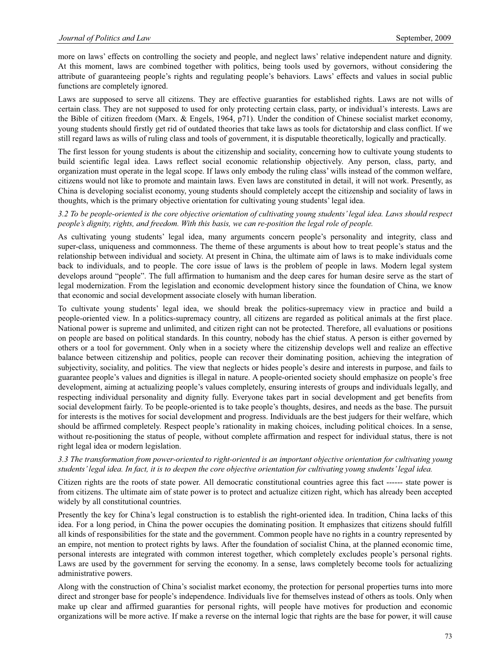more on laws' effects on controlling the society and people, and neglect laws' relative independent nature and dignity. At this moment, laws are combined together with politics, being tools used by governors, without considering the attribute of guaranteeing people's rights and regulating people's behaviors. Laws' effects and values in social public functions are completely ignored.

Laws are supposed to serve all citizens. They are effective guaranties for established rights. Laws are not wills of certain class. They are not supposed to used for only protecting certain class, party, or individual's interests. Laws are the Bible of citizen freedom (Marx. & Engels, 1964, p71). Under the condition of Chinese socialist market economy, young students should firstly get rid of outdated theories that take laws as tools for dictatorship and class conflict. If we still regard laws as wills of ruling class and tools of government, it is disputable theoretically, logically and practically.

The first lesson for young students is about the citizenship and sociality, concerning how to cultivate young students to build scientific legal idea. Laws reflect social economic relationship objectively. Any person, class, party, and organization must operate in the legal scope. If laws only embody the ruling class' wills instead of the common welfare, citizens would not like to promote and maintain laws. Even laws are constituted in detail, it will not work. Presently, as China is developing socialist economy, young students should completely accept the citizenship and sociality of laws in thoughts, which is the primary objective orientation for cultivating young students' legal idea.

## *3.2 To be people-oriented is the core objective orientation of cultivating young students' legal idea. Laws should respect people's dignity, rights, and freedom. With this basis, we can re-position the legal role of people.*

As cultivating young students' legal idea, many arguments concern people's personality and integrity, class and super-class, uniqueness and commonness. The theme of these arguments is about how to treat people's status and the relationship between individual and society. At present in China, the ultimate aim of laws is to make individuals come back to individuals, and to people. The core issue of laws is the problem of people in laws. Modern legal system develops around "people". The full affirmation to humanism and the deep cares for human desire serve as the start of legal modernization. From the legislation and economic development history since the foundation of China, we know that economic and social development associate closely with human liberation.

To cultivate young students' legal idea, we should break the politics-supremacy view in practice and build a people-oriented view. In a politics-supremacy country, all citizens are regarded as political animals at the first place. National power is supreme and unlimited, and citizen right can not be protected. Therefore, all evaluations or positions on people are based on political standards. In this country, nobody has the chief status. A person is either governed by others or a tool for government. Only when in a society where the citizenship develops well and realize an effective balance between citizenship and politics, people can recover their dominating position, achieving the integration of subjectivity, sociality, and politics. The view that neglects or hides people's desire and interests in purpose, and fails to guarantee people's values and dignities is illegal in nature. A people-oriented society should emphasize on people's free development, aiming at actualizing people's values completely, ensuring interests of groups and individuals legally, and respecting individual personality and dignity fully. Everyone takes part in social development and get benefits from social development fairly. To be people-oriented is to take people's thoughts, desires, and needs as the base. The pursuit for interests is the motives for social development and progress. Individuals are the best judgers for their welfare, which should be affirmed completely. Respect people's rationality in making choices, including political choices. In a sense, without re-positioning the status of people, without complete affirmation and respect for individual status, there is not right legal idea or modern legislation.

# *3.3 The transformation from power-oriented to right-oriented is an important objective orientation for cultivating young students' legal idea. In fact, it is to deepen the core objective orientation for cultivating young students' legal idea.*

Citizen rights are the roots of state power. All democratic constitutional countries agree this fact ------ state power is from citizens. The ultimate aim of state power is to protect and actualize citizen right, which has already been accepted widely by all constitutional countries.

Presently the key for China's legal construction is to establish the right-oriented idea. In tradition, China lacks of this idea. For a long period, in China the power occupies the dominating position. It emphasizes that citizens should fulfill all kinds of responsibilities for the state and the government. Common people have no rights in a country represented by an empire, not mention to protect rights by laws. After the foundation of socialist China, at the planned economic time, personal interests are integrated with common interest together, which completely excludes people's personal rights. Laws are used by the government for serving the economy. In a sense, laws completely become tools for actualizing administrative powers.

Along with the construction of China's socialist market economy, the protection for personal properties turns into more direct and stronger base for people's independence. Individuals live for themselves instead of others as tools. Only when make up clear and affirmed guaranties for personal rights, will people have motives for production and economic organizations will be more active. If make a reverse on the internal logic that rights are the base for power, it will cause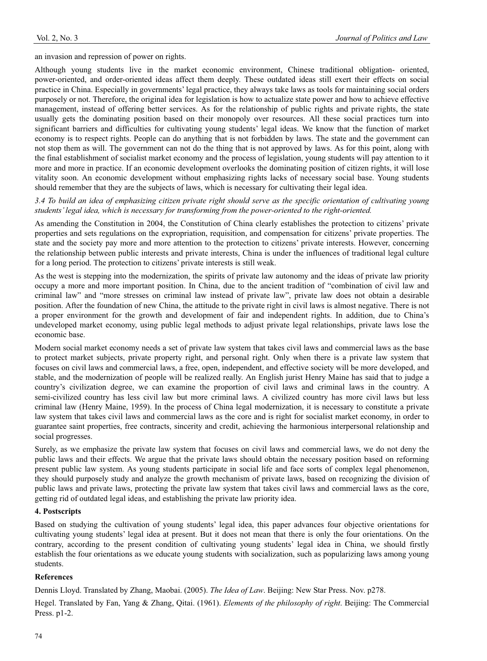an invasion and repression of power on rights.

Although young students live in the market economic environment, Chinese traditional obligation- oriented, power-oriented, and order-oriented ideas affect them deeply. These outdated ideas still exert their effects on social practice in China. Especially in governments' legal practice, they always take laws as tools for maintaining social orders purposely or not. Therefore, the original idea for legislation is how to actualize state power and how to achieve effective management, instead of offering better services. As for the relationship of public rights and private rights, the state usually gets the dominating position based on their monopoly over resources. All these social practices turn into significant barriers and difficulties for cultivating young students' legal ideas. We know that the function of market economy is to respect rights. People can do anything that is not forbidden by laws. The state and the government can not stop them as will. The government can not do the thing that is not approved by laws. As for this point, along with the final establishment of socialist market economy and the process of legislation, young students will pay attention to it more and more in practice. If an economic development overlooks the dominating position of citizen rights, it will lose vitality soon. An economic development without emphasizing rights lacks of necessary social base. Young students should remember that they are the subjects of laws, which is necessary for cultivating their legal idea.

*3.4 To build an idea of emphasizing citizen private right should serve as the specific orientation of cultivating young students' legal idea, which is necessary for transforming from the power-oriented to the right-oriented.* 

As amending the Constitution in 2004, the Constitution of China clearly establishes the protection to citizens' private properties and sets regulations on the expropriation, requisition, and compensation for citizens' private properties. The state and the society pay more and more attention to the protection to citizens' private interests. However, concerning the relationship between public interests and private interests, China is under the influences of traditional legal culture for a long period. The protection to citizens' private interests is still weak.

As the west is stepping into the modernization, the spirits of private law autonomy and the ideas of private law priority occupy a more and more important position. In China, due to the ancient tradition of "combination of civil law and criminal law" and "more stresses on criminal law instead of private law", private law does not obtain a desirable position. After the foundation of new China, the attitude to the private right in civil laws is almost negative. There is not a proper environment for the growth and development of fair and independent rights. In addition, due to China's undeveloped market economy, using public legal methods to adjust private legal relationships, private laws lose the economic base.

Modern social market economy needs a set of private law system that takes civil laws and commercial laws as the base to protect market subjects, private property right, and personal right. Only when there is a private law system that focuses on civil laws and commercial laws, a free, open, independent, and effective society will be more developed, and stable, and the modernization of people will be realized really. An English jurist Henry Maine has said that to judge a country's civilization degree, we can examine the proportion of civil laws and criminal laws in the country. A semi-civilized country has less civil law but more criminal laws. A civilized country has more civil laws but less criminal law (Henry Maine, 1959). In the process of China legal modernization, it is necessary to constitute a private law system that takes civil laws and commercial laws as the core and is right for socialist market economy, in order to guarantee saint properties, free contracts, sincerity and credit, achieving the harmonious interpersonal relationship and social progresses.

Surely, as we emphasize the private law system that focuses on civil laws and commercial laws, we do not deny the public laws and their effects. We argue that the private laws should obtain the necessary position based on reforming present public law system. As young students participate in social life and face sorts of complex legal phenomenon, they should purposely study and analyze the growth mechanism of private laws, based on recognizing the division of public laws and private laws, protecting the private law system that takes civil laws and commercial laws as the core, getting rid of outdated legal ideas, and establishing the private law priority idea.

### **4. Postscripts**

Based on studying the cultivation of young students' legal idea, this paper advances four objective orientations for cultivating young students' legal idea at present. But it does not mean that there is only the four orientations. On the contrary, according to the present condition of cultivating young students' legal idea in China, we should firstly establish the four orientations as we educate young students with socialization, such as popularizing laws among young students.

### **References**

Dennis Lloyd. Translated by Zhang, Maobai. (2005). *The Idea of Law*. Beijing: New Star Press. Nov. p278.

Hegel. Translated by Fan, Yang & Zhang, Qitai. (1961). *Elements of the philosophy of right*. Beijing: The Commercial Press. p1-2.